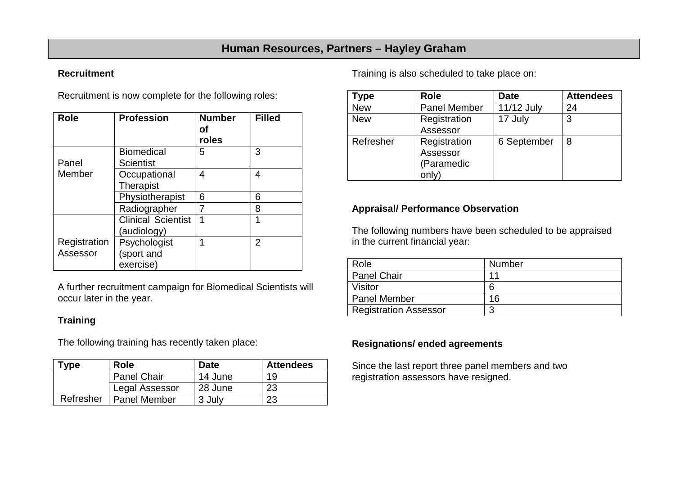# **Human Resources, Partners – Hayley Graham**

#### **Recruitment**

Recruitment is now complete for the following roles:

| <b>Role</b>              | <b>Profession</b>                        | <b>Number</b><br>οf<br>roles | <b>Filled</b> |
|--------------------------|------------------------------------------|------------------------------|---------------|
| Panel                    | <b>Biomedical</b><br><b>Scientist</b>    | 5                            | 3             |
| Member                   | Occupational<br><b>Therapist</b>         | 4                            | 4             |
|                          | Physiotherapist                          | 6                            | 6             |
|                          | Radiographer                             |                              | 8             |
|                          | <b>Clinical Scientist</b><br>(audiology) | 1                            | 1             |
| Registration<br>Assessor | Psychologist<br>(sport and<br>exercise)  | 1                            | 2             |

A further recruitment campaign for Biomedical Scientists will occur later in the year.

### **Training**

The following training has recently taken place:

| Type      | Role                  | <b>Date</b> | <b>Attendees</b> |
|-----------|-----------------------|-------------|------------------|
|           | <b>Panel Chair</b>    | 14 June     | 19               |
|           | <b>Legal Assessor</b> | 28 June     | 23               |
| Refresher | <b>Panel Member</b>   | 3 July      | 23               |

Training is also scheduled to take place on:

| ype        | <b>Role</b>         | <b>Date</b> | <b>Attendees</b> |
|------------|---------------------|-------------|------------------|
| <b>New</b> | <b>Panel Member</b> | 11/12 July  | 24               |
| <b>New</b> | Registration        | 17 July     | 3                |
|            | Assessor            |             |                  |
| Refresher  | Registration        | 6 September | 8                |
|            | Assessor            |             |                  |
|            | (Paramedic          |             |                  |
|            | only)               |             |                  |

## **Appraisal/ Performance Observation**

The following numbers have been scheduled to be appraised in the current financial year:

| Role                         | Number |
|------------------------------|--------|
| <b>Panel Chair</b>           | 11     |
| Visitor                      | 6      |
| Panel Member                 | 16     |
| <b>Registration Assessor</b> |        |

#### **Resignations/ ended agreements**

Since the last report three panel members and two registration assessors have resigned.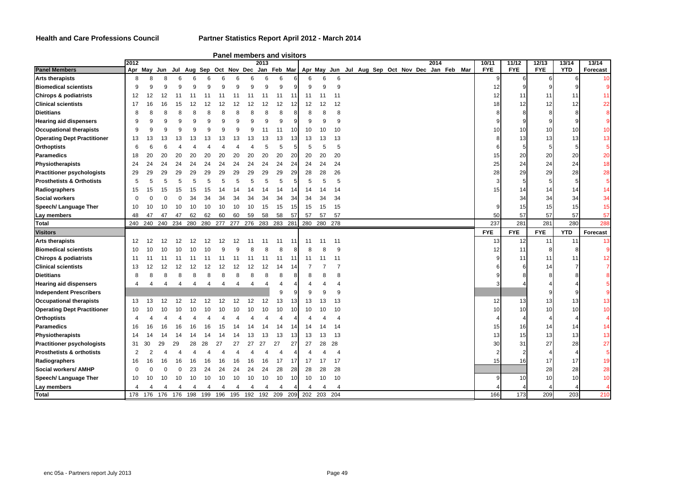**Health and Care Professions Council Partner Statistics Report April 2012 - March 2014**

|                                      | 2012           |         |          |                |                |          |                |          |          | 2013     |                       | and members and visitors |          |                |                                                                                                 |  |  | 2014 |  | 10/11      | 11/12      | 12/13      | 13/14      | 13/14                       |
|--------------------------------------|----------------|---------|----------|----------------|----------------|----------|----------------|----------|----------|----------|-----------------------|--------------------------|----------|----------------|-------------------------------------------------------------------------------------------------|--|--|------|--|------------|------------|------------|------------|-----------------------------|
| <b>Panel Members</b>                 |                |         |          |                |                |          |                |          |          |          |                       |                          |          |                | Apr May Jun Jul Aug Sep Oct Nov Dec Jan Feb Mar Apr May Jun Jul Aug Sep Oct Nov Dec Jan Feb Mar |  |  |      |  | <b>FYE</b> | <b>FYE</b> | <b>FYE</b> | <b>YTD</b> | Forecast                    |
| <b>Arts therapists</b>               | 8              |         | 8        |                | 6              |          |                |          |          |          | 6                     |                          |          | 6              | 6                                                                                               |  |  |      |  |            |            |            |            | 10                          |
| <b>Biomedical scientists</b>         | 9              |         | 9        | 9              | 9              | 9        | 9              | 9        |          |          | 9                     | 9                        | 9        | 9              | 9                                                                                               |  |  |      |  | 12         |            |            |            | <b>g</b>                    |
| <b>Chirops &amp; podiatrists</b>     | 12             | 12      | 12       | 11             | 11             | 11       | 11             | 11       | 11       | 11       | 11                    | 11                       | 11       | 11             | 11                                                                                              |  |  |      |  | 12         | -11        | 11         | 11         | 11                          |
| <b>Clinical scientists</b>           | 17             | 16      | 16       | 15             | 12             | 12       | 12             | 12       | 12       | 12       | 12                    |                          | 12       | 12             | 12                                                                                              |  |  |      |  | 18         | 12         | 12         | 12         | 22                          |
| <b>Dietitians</b>                    | 8              |         | 8        | 8              | 8              |          |                |          |          |          | 8                     | 8                        | 8        | 8              | 8                                                                                               |  |  |      |  | 8          |            |            | 8          | 8                           |
| <b>Hearing aid dispensers</b>        | 9              |         | 9        | 9              | 9              | 9        | 9              | 9        |          |          | 9                     | 9                        | 9        | 9              | 9                                                                                               |  |  |      |  |            |            |            |            |                             |
| <b>Occupational therapists</b>       | 9              |         | 9        | 9              | 9              | 9        | q              | 9        |          | 11       | 11                    | 10                       | 10       | 10             | 10                                                                                              |  |  |      |  | 10         | 10         | 10         | 10         | 10                          |
| <b>Operating Dept Practitioner</b>   | 13             | 13      | 13       | 13             | 13             | 13       | 13             | 13       | 13       | 13       | 13                    | 13                       | 13       | 13             | 13                                                                                              |  |  |      |  |            | 13         | 13         | 13         | 13                          |
| <b>Orthoptists</b>                   | 6              |         | 6        | 4              |                |          |                |          |          | F        | 5                     | 5                        | 5        | 5              | 5                                                                                               |  |  |      |  |            |            |            | 5          | $\sqrt{5}$                  |
| <b>Paramedics</b>                    | 18             | 20      | 20       | 20             | 20             | 20       | 20             | 20       | 20       | 20       | 20                    | 20                       | 20       | 20             | 20                                                                                              |  |  |      |  | 15         | 20         | 20         | 20         | 20                          |
| Physiotherapists                     | 24             | 24      | 24       | 24             | 24             | 24       | 24             | 24       | 24       | 24       | 24                    | 24                       | 24       | 24             | 24                                                                                              |  |  |      |  | 25         | 24         | 24         | 24         | 18                          |
| <b>Practitioner psychologists</b>    | 29             | 29      | 29       | 29             | 29             | 29       | 29             | 29       | 29       | 29       | 29                    | 29                       | 28       | 28             | 26                                                                                              |  |  |      |  | 28         | 29         | 29         | 28         | 28                          |
| <b>Prosthetists &amp; Orthotists</b> | 5              |         | 5        | 5              | 5              |          | 5              |          |          | 5        | 5                     | 5                        | 5        | 5              | 5                                                                                               |  |  |      |  | 3          |            |            | 5          | 5                           |
| Radiographers                        | 15             | 15      | 15       | 15             | 15             | 15       |                |          |          | 14       | 14                    | 14                       | 14       | 14             | 14                                                                                              |  |  |      |  | 15         | 14         | 14         | 14         | 14                          |
| <b>Social workers</b>                | O              |         |          |                | 34             | 34       | 34             |          | 34       | 34       | 34                    | 34                       | 34       | 34             | 34                                                                                              |  |  |      |  |            | 34         | 34         | 34         | 34                          |
| Speech/ Language Ther                | 10             | 10      | 10       | 10             | 10             | 10       | 10             | 10       | 10       | 15       | 15                    | 15                       | 15       | 15             | 15                                                                                              |  |  |      |  |            | 15         | 15         | 15         | 15                          |
| Lay members                          | 48             | 47      | 47       | 47             | 62             | 62       | 60             | 60       | 59       | 58       | 58                    | 57                       | 57       | 57             | 57                                                                                              |  |  |      |  | 50         | 57         | 57         | 57         | 57                          |
| <b>Total</b>                         |                | 240 240 | 240      | 234 280        |                | 280 277  |                | 277      | 276      | 283      | 283                   | 281                      | 280      | 280            | 278                                                                                             |  |  |      |  | 237        | 281        | 281        | 280        | 288                         |
|                                      |                |         |          |                |                |          |                |          |          |          |                       |                          |          |                |                                                                                                 |  |  |      |  |            |            |            |            |                             |
| <b>Visitors</b>                      |                |         |          |                |                |          |                |          |          |          |                       |                          |          |                |                                                                                                 |  |  |      |  | <b>FYE</b> | <b>FYE</b> | <b>FYE</b> | <b>YTD</b> | Forecast                    |
| <b>Arts therapists</b>               | 12             | 12      | 12       | 12             | 12             | 12       | 12             | 12       | 11       | 11       | 11                    | 11                       | 11       | 11             | 11                                                                                              |  |  |      |  | 13         | 12         | 11         | 11         | 13                          |
| <b>Biomedical scientists</b>         | 10             | 10      | 10       | 10             | 10             | 10       | q              |          |          |          | 8                     |                          | 8        | 8              | 9                                                                                               |  |  |      |  | 12         | 11         |            | 8          | q                           |
| <b>Chirops &amp; podiatrists</b>     | 11             | 11      | 11       | 11             | 11             | 11       | 11             | 11       | 11       | 11       | 11                    | 11                       | 11       | 11             | 11                                                                                              |  |  |      |  |            | 11         | 11         | 11         | 12                          |
| <b>Clinical scientists</b>           | 13             | 12      | 12       | 12             | 12             | 12       | 12             | 12       | 12       | 12       | 14                    | 14                       |          |                | $\overline{7}$                                                                                  |  |  |      |  |            |            | 14         |            |                             |
| <b>Dietitians</b>                    | 8              |         | 8        | 8              | 8              | 8        | 8              | 8        | 8        | 8        | 8                     | 8                        | 8        | 8              | 8                                                                                               |  |  |      |  |            |            |            |            |                             |
| <b>Hearing aid dispensers</b>        | Δ              |         | 4        | $\overline{4}$ | $\overline{4}$ | 4        | $\overline{4}$ | 4        | 4        | 4        | 4                     | 4                        |          |                |                                                                                                 |  |  |      |  |            |            |            |            |                             |
| <b>Independent Prescribers</b>       |                |         |          |                |                |          |                |          |          |          | 9                     | 9                        |          | 9              | 9                                                                                               |  |  |      |  |            |            |            |            | 9                           |
| <b>Occupational therapists</b>       | 13             | 13      | 12       | 12             | 12             | 12       | 12             | 12       | 12       | 12       | 13                    |                          | 13       | 13             | 13                                                                                              |  |  |      |  | 12         | 13         | 13         | 13         | 13                          |
| <b>Operating Dept Practitioner</b>   | 10             | 10      | 10       | 10             | 10             | 10       | 10             |          |          |          | 10                    |                          | 10       | 10             | 10                                                                                              |  |  |      |  | 10         | 10         | 10         | 10         | 10                          |
| <b>Orthoptists</b>                   | 4              |         |          |                |                |          |                |          |          |          |                       |                          | Δ        |                | Δ                                                                                               |  |  |      |  |            |            |            | 4          | $\overline{4}$              |
| <b>Paramedics</b>                    | 16             | 16      | 16       | 16             | 16             |          | 15             |          |          |          | 14                    | 14                       | 14       | 14             | 14                                                                                              |  |  |      |  | 15         | 16         | 14         | 14         | 14                          |
| Physiotherapists                     | 14             |         | 14       | 14             |                |          |                |          |          | 13       | 13                    | 13                       | 13       | 13             | 13                                                                                              |  |  |      |  | 13         | 15         | 13         | 13         | 13                          |
| <b>Practitioner psychologists</b>    | 31             | 30      | 29       | 29             | 28             | 28       | 27             |          | 27       | 27       | 27                    | 27                       | 27       | 28             | 28                                                                                              |  |  |      |  | 30         | 31         | 27         | 28         | 27                          |
| <b>Prosthetists &amp; orthotists</b> | $\overline{2}$ |         |          | Δ              |                |          |                |          |          |          | Δ                     | 4                        | Δ        |                | 4                                                                                               |  |  |      |  |            |            |            | 4          |                             |
| Radiographers                        | 16             | 16      | 16       | 16             | 16             | 16       | 16             | 16       | 16       | 16       | 17                    | 17                       | 17       | 17             | 17                                                                                              |  |  |      |  | 15         | 16         | 17         | 17         |                             |
| Social workers/ AMHP                 | O              |         | $\Omega$ | $\Omega$       | 23             | 24       | 24             | 24       | 24       | 24       | 28                    | 28                       | 28       | 28             | 28                                                                                              |  |  |      |  |            |            | 28         | 28         | 28                          |
| Speech/ Language Ther                | 10             | 10      | 10       | 10             | 10             | 10       | 10             | 10       | 10       | 10       | 10                    | 10 <sup>1</sup>          | 10       | 10             | 10                                                                                              |  |  |      |  | 9          | 10         | 10         | 10         | 10                          |
| Lay members<br>Total                 | 4              | 178 176 |          | 176 176        | 4<br>198       | 4<br>199 | 4<br>196       | 4<br>195 | 4<br>192 | 4<br>192 | $\overline{4}$<br>209 | 209                      | 4<br>202 | $\overline{4}$ | 4<br>203 204                                                                                    |  |  |      |  | 166        | 173        | 209        | 203        | $\overline{5}$<br>19<br>210 |